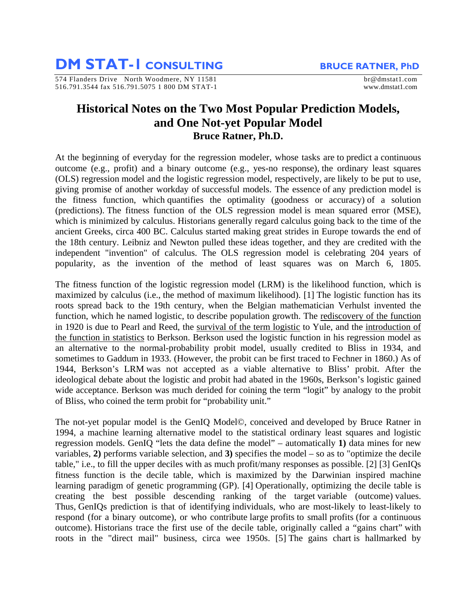**DM STAT-1 CONSULTING** BRUCE RATNER, PhD

574 Flanders Drive North Woodmere, NY 11581 brand brand brand brand brand brand brand brand brand brand brand brand brand brand brand brand brand brand brand brand brand brand brand brand brand brand brand brand brand bran 516.791.3544 fax 516.791.5075 1 800 DM STAT-1 www.dmstat1.com

## **Historical Notes on the Two Most Popular Prediction Models, and One Not-yet Popular Model Bruce Ratner, Ph.D.**

At the beginning of everyday for the regression modeler, whose tasks are to predict a continuous outcome (e.g., profit) and a binary outcome (e.g., yes-no response), the ordinary least squares (OLS) regression model and the logistic regression model, respectively, are likely to be put to use, giving promise of another workday of successful models. The essence of any prediction model is the fitness function, which quantifies the optimality (goodness or accuracy) of a solution (predictions). The fitness function of the OLS regression model is mean squared error (MSE), which is minimized by calculus. Historians generally regard calculus going back to the time of the ancient Greeks, circa 400 BC. Calculus started making great strides in Europe towards the end of the 18th century. Leibniz and Newton pulled these ideas together, and they are credited with the independent "invention" of calculus. The OLS regression model is celebrating 204 years of popularity, as the invention of the method of least squares was on March 6, 1805.

The fitness function of the logistic regression model (LRM) is the likelihood function, which is maximized by calculus (i.e., the method of maximum likelihood). [1] The logistic function has its roots spread back to the 19th century, when the Belgian mathematician Verhulst invented the function, which he named logistic, to describe population growth. The rediscovery of the function in 1920 is due to Pearl and Reed, the survival of the term logistic to Yule, and the introduction of the function in statistics to Berkson. Berkson used the logistic function in his regression model as an alternative to the normal-probability probit model, usually credited to Bliss in 1934, and sometimes to Gaddum in 1933. (However, the probit can be first traced to Fechner in 1860.) As of 1944, Berkson's LRM was not accepted as a viable alternative to Bliss' probit. After the ideological debate about the logistic and probit had abated in the 1960s, Berkson's logistic gained wide acceptance. Berkson was much derided for coining the term "logit" by analogy to the probit of Bliss, who coined the term probit for "probability unit."

The not-yet popular model is the GenIQ Model©, conceived and developed by Bruce Ratner in 1994, a machine learning alternative model to the statistical ordinary least squares and logistic regression models. GenIQ "lets the data define the model" – automatically **1)** data mines for new variables, **2)** performs variable selection, and **3)** specifies the model – so as to "optimize the decile table," i.e., to fill the upper deciles with as much profit/many responses as possible. [2] [3] GenIQs fitness function is the decile table, which is maximized by the Darwinian inspired machine learning paradigm of genetic programming (GP). [4] Operationally, optimizing the decile table is creating the best possible descending ranking of the target variable (outcome) values. Thus, GenIQs prediction is that of identifying individuals, who are most-likely to least-likely to respond (for a binary outcome), or who contribute large profits to small profits (for a continuous outcome). Historians trace the first use of the decile table, originally called a "gains chart" with roots in the "direct mail" business, circa wee 1950s. [5] The gains chart is hallmarked by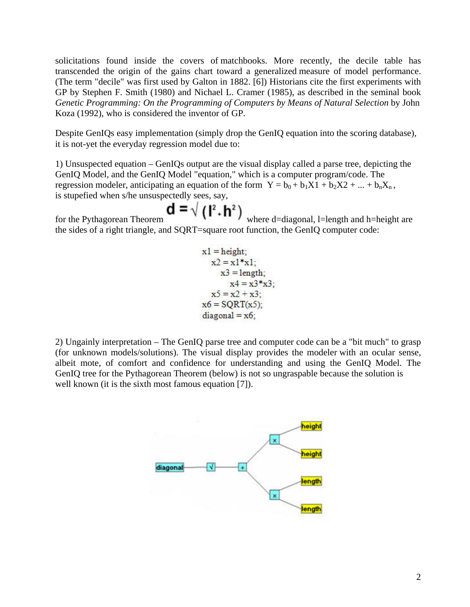solicitations found inside the covers of matchbooks. More recently, the decile table has transcended the origin of the gains chart toward a generalized measure of model performance. (The term "decile" was first used by Galton in 1882. [6]) Historians cite the first experiments with GP by Stephen F. Smith (1980) and Nichael L. Cramer (1985), as described in the seminal book *Genetic Programming: On the Programming of Computers by Means of Natural Selection* by John Koza (1992), who is considered the inventor of GP.

Despite GenIQs easy implementation (simply drop the GenIQ equation into the scoring database), it is not-yet the everyday regression model due to:

1) Unsuspected equation – GenIQs output are the visual display called a parse tree, depicting the GenIQ Model, and the GenIQ Model "equation," which is a computer program/code. The regression modeler, anticipating an equation of the form  $Y = b_0 + b_1X1 + b_2X2 + ... + b_nX_n$ , is stupefied when s/he unsuspectedly sees, say,

for the Pythagorean Theorem  $\mathbf{d} = \sqrt{(\mathbf{l}^2 + \mathbf{h}^2)}$  where d=diagonal, l=length and h=height are the sides of a right triangle, and SQRT=square root function, the GenIQ computer code:

$$
x1 = height;\nx2 = x1*x1;\nx3 = length;\nx4 = x3*x3;\nx5 = x2 + x3;\nx6 = SQRT(x5);\ndiagonal = x6;
$$

2) Ungainly interpretation – The GenIQ parse tree and computer code can be a "bit much" to grasp (for unknown models/solutions). The visual display provides the modeler with an ocular sense, albeit mote, of comfort and confidence for understanding and using the GenIQ Model. The GenIQ tree for the Pythagorean Theorem (below) is not so ungraspable because the solution is well known (it is the sixth most famous equation [7]).

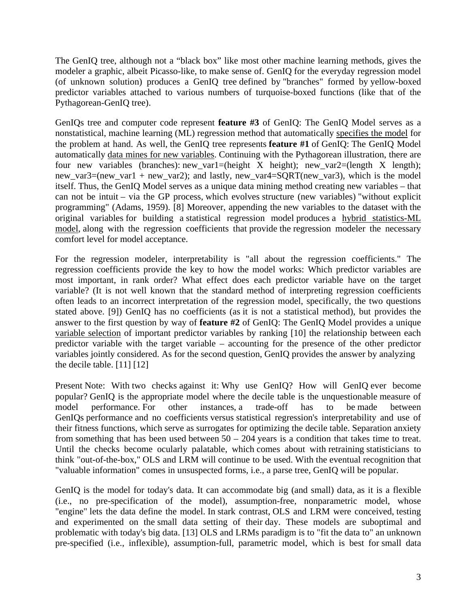The GenIQ tree, although not a "black box" like most other machine learning methods, gives the modeler a graphic, albeit Picasso-like, to make sense of. GenIQ for the everyday regression model (of unknown solution) produces a GenIQ tree defined by "branches" formed by yellow-boxed predictor variables attached to various numbers of turquoise-boxed functions (like that of the Pythagorean-GenIQ tree).

GenIQs tree and computer code represent **feature #3** of GenIQ: The GenIQ Model serves as a nonstatistical, machine learning (ML) regression method that automatically specifies the model for the problem at hand. As well, the GenIQ tree represents **feature #1** of GenIQ: The GenIQ Model automatically data mines for new variables. Continuing with the Pythagorean illustration, there are four new variables (branches): new var1=(height X height); new var2=(length X length); new var3=(new var1 + new var2); and lastly, new var4=SQRT(new var3), which is the model itself. Thus, the GenIQ Model serves as a unique data mining method creating new variables – that can not be intuit – via the GP process, which evolves structure (new variables) "without explicit programming" (Adams, 1959). [8] Moreover, appending the new variables to the dataset with the original variables for building a statistical regression model produces a hybrid statistics-ML model, along with the regression coefficients that provide the regression modeler the necessary comfort level for model acceptance.

For the regression modeler, interpretability is "all about the regression coefficients." The regression coefficients provide the key to how the model works: Which predictor variables are most important, in rank order? What effect does each predictor variable have on the target variable? (It is not well known that the standard method of interpreting regression coefficients often leads to an incorrect interpretation of the regression model, specifically, the two questions stated above. [9]) GenIQ has no coefficients (as it is not a statistical method), but provides the answer to the first question by way of **feature #2** of GenIQ: The GenIQ Model provides a unique variable selection of important predictor variables by ranking [10] the relationship between each predictor variable with the target variable – accounting for the presence of the other predictor variables jointly considered. As for the second question, GenIQ provides the answer by analyzing the decile table.  $[11] [12]$ 

Present Note: With two checks against it: Why use GenIQ? How will GenIQ ever become popular? GenIQ is the appropriate model where the decile table is the unquestionable measure of model performance. For other instances, a trade-off has to be made between GenIQs performance and no coefficients versus statistical regression's interpretability and use of their fitness functions, which serve as surrogates for optimizing the decile table. Separation anxiety from something that has been used between  $50 - 204$  years is a condition that takes time to treat. Until the checks become ocularly palatable, which comes about with retraining statisticians to think "out-of-the-box," OLS and LRM will continue to be used. With the eventual recognition that "valuable information" comes in unsuspected forms, i.e., a parse tree, GenIQ will be popular.

GenIQ is the model for today's data. It can accommodate big (and small) data, as it is a flexible (i.e., no pre-specification of the model), assumption-free, nonparametric model, whose "engine" lets the data define the model. In stark contrast, OLS and LRM were conceived, testing and experimented on the small data setting of their day. These models are suboptimal and problematic with today's big data. [13] OLS and LRMs paradigm is to "fit the data to" an unknown pre-specified (i.e., inflexible), assumption-full, parametric model, which is best for small data